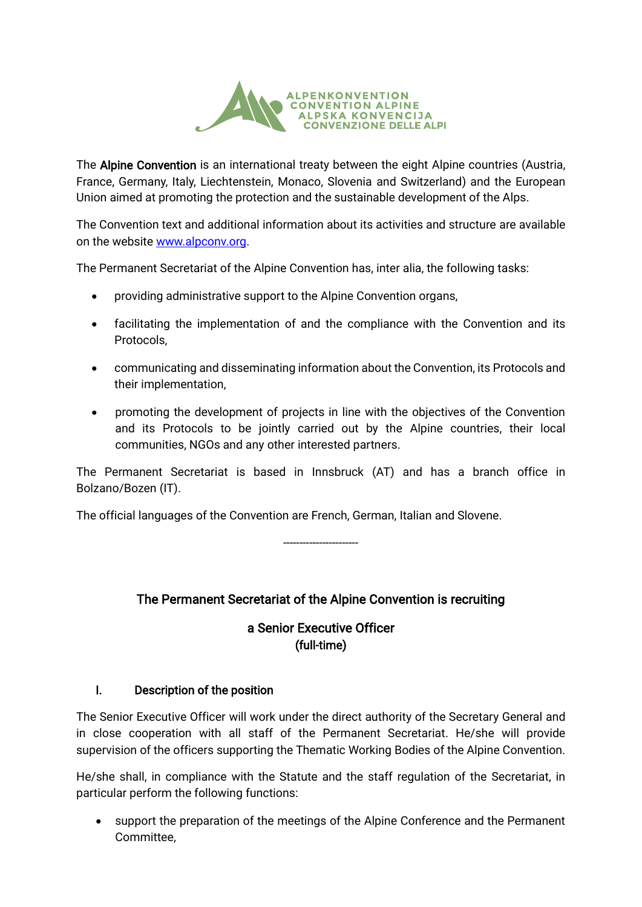

The Alpine Convention is an international treaty between the eight Alpine countries (Austria, France, Germany, Italy, Liechtenstein, Monaco, Slovenia and Switzerland) and the European Union aimed at promoting the protection and the sustainable development of the Alps.

The Convention text and additional information about its activities and structure are available on the website [www.alpconv.org.](http://www.alpconv.org/)

The Permanent Secretariat of the Alpine Convention has, inter alia, the following tasks:

- providing administrative support to the Alpine Convention organs,
- facilitating the implementation of and the compliance with the Convention and its Protocols,
- communicating and disseminating information about the Convention, its Protocols and their implementation,
- promoting the development of projects in line with the objectives of the Convention and its Protocols to be jointly carried out by the Alpine countries, their local communities, NGOs and any other interested partners.

The Permanent Secretariat is based in Innsbruck (AT) and has a branch office in Bolzano/Bozen (IT).

The official languages of the Convention are French, German, Italian and Slovene.

-----------------------

# The Permanent Secretariat of the Alpine Convention is recruiting

## a Senior Executive Officer (full-time)

## I. Description of the position

The Senior Executive Officer will work under the direct authority of the Secretary General and in close cooperation with all staff of the Permanent Secretariat. He/she will provide supervision of the officers supporting the Thematic Working Bodies of the Alpine Convention.

He/she shall, in compliance with the Statute and the staff regulation of the Secretariat, in particular perform the following functions:

• support the preparation of the meetings of the Alpine Conference and the Permanent Committee,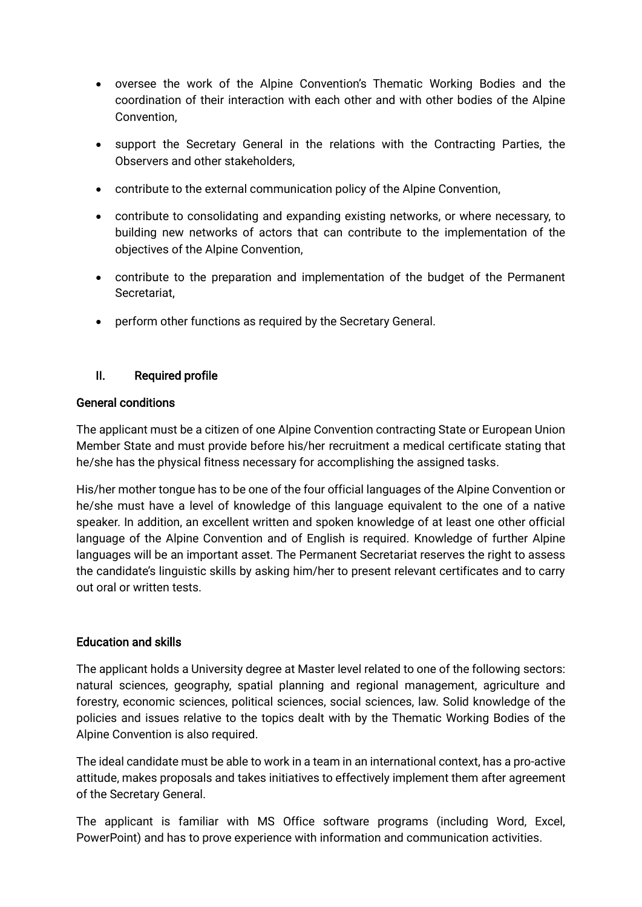- oversee the work of the Alpine Convention's Thematic Working Bodies and the coordination of their interaction with each other and with other bodies of the Alpine Convention,
- support the Secretary General in the relations with the Contracting Parties, the Observers and other stakeholders,
- contribute to the external communication policy of the Alpine Convention,
- contribute to consolidating and expanding existing networks, or where necessary, to building new networks of actors that can contribute to the implementation of the objectives of the Alpine Convention,
- contribute to the preparation and implementation of the budget of the Permanent Secretariat,
- perform other functions as required by the Secretary General.

## II. Required profile

#### General conditions

The applicant must be a citizen of one Alpine Convention contracting State or European Union Member State and must provide before his/her recruitment a medical certificate stating that he/she has the physical fitness necessary for accomplishing the assigned tasks.

His/her mother tongue has to be one of the four official languages of the Alpine Convention or he/she must have a level of knowledge of this language equivalent to the one of a native speaker. In addition, an excellent written and spoken knowledge of at least one other official language of the Alpine Convention and of English is required. Knowledge of further Alpine languages will be an important asset. The Permanent Secretariat reserves the right to assess the candidate's linguistic skills by asking him/her to present relevant certificates and to carry out oral or written tests.

## Education and skills

The applicant holds a University degree at Master level related to one of the following sectors: natural sciences, geography, spatial planning and regional management, agriculture and forestry, economic sciences, political sciences, social sciences, law. Solid knowledge of the policies and issues relative to the topics dealt with by the Thematic Working Bodies of the Alpine Convention is also required.

The ideal candidate must be able to work in a team in an international context, has a pro-active attitude, makes proposals and takes initiatives to effectively implement them after agreement of the Secretary General.

The applicant is familiar with MS Office software programs (including Word, Excel, PowerPoint) and has to prove experience with information and communication activities.